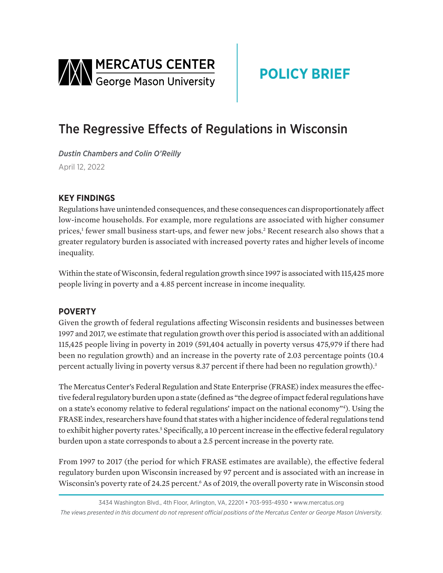<span id="page-0-0"></span>

# **POLICY BRIEF**

## The Regressive Effects of Regulations in Wisconsin

*Dustin Chambers and Colin O'Reilly*  April 12, 2022

### **KEY FINDINGS**

Regulations have unintended consequences, and these consequences can disproportionately affect low-income households. For example, more regulations are associated with higher consumer prices,<sup>[1](#page-2-0)</sup> fewer small business start-ups, and fewer new jobs.<sup>[2](#page-2-0)</sup> Recent research also shows that a greater regulatory burden is associated with increased poverty rates and higher levels of income inequality.

Within the state of Wisconsin, federal regulation growth since 1997 is associated with 115,425 more people living in poverty and a 4.85 percent increase in income inequality.

#### **POVERTY**

Given the growth of federal regulations affecting Wisconsin residents and businesses between 1997 and 2017, we estimate that regulation growth over this period is associated with an additional 115,425 people living in poverty in 2019 (591,404 actually in poverty versus 475,979 if there had been no regulation growth) and an increase in the poverty rate of 2.03 percentage points (10.4 percent actually living in poverty versus 8[.3](#page-2-0)7 percent if there had been no regulation growth).<sup>3</sup>

The Mercatus Center's Federal Regulation and State Enterprise (FRASE) index measures the effective federal regulatory burden upon a state (defined as "the degree of impact federal regulations have on a state's economy relative to federal regulations' impact on the national economy["4](#page-2-0) ). Using the FRASE index, researchers have found that states with a higher incidence of federal regulations tend to exhibit higher poverty rates.<sup>5</sup> Specifically, a 10 percent increase in the effective federal regulatory burden upon a state corresponds to about a 2.5 percent increase in the poverty rate.

From 1997 to 2017 (the period for which FRASE estimates are available), the effective federal regulatory burden upon Wisconsin increased by 97 percent and is associated with an increase in Wisconsin's poverty rate of 24.25 percent.<sup>6</sup> As of 2019, the overall poverty rate in Wisconsin stood

<sup>3434</sup> Washington Blvd., 4th Floor, Arlington, VA, 22201 • 703-993-4930 • www.mercatus.org *The views presented in this document do not represent official positions of the Mercatus Center or George Mason University.*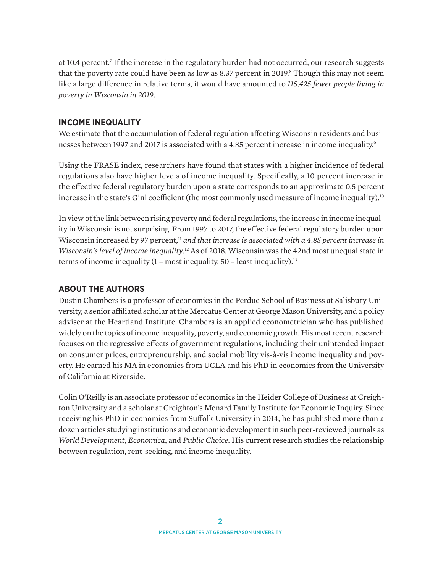<span id="page-1-0"></span>at 10.4 percent[.7](#page-2-0) If the increase in the regulatory burden had not occurred, our research suggests that the poverty rate could have been as low as [8](#page-2-0).37 percent in 2019.<sup>8</sup> Though this may not seem like a large difference in relative terms, it would have amounted to *115,425 fewer people living in poverty in Wisconsin in 2019*.

#### **INCOME INEQUALITY**

We estimate that the accumulation of federal regulation affecting Wisconsin residents and busi-nesses between 1[9](#page-2-0)97 and 2017 is associated with a 4.85 percent increase in income inequality.<sup>9</sup>

Using the FRASE index, researchers have found that states with a higher incidence of federal regulations also have higher levels of income inequality. Specifically, a 10 percent increase in the effective federal regulatory burden upon a state corresponds to an approximate 0.5 percent increase in the state's Gini coefficient (the most commonly used measure of income inequality).<sup>[10](#page-2-0)</sup>

In view of the link between rising poverty and federal regulations, the increase in income inequality in Wisconsin is not surprising. From 1997 to 2017, the effective federal regulatory burden upon Wisconsin increased by 97 percent,<sup>11</sup> *and that increase is associated with a 4.85 percent increase in Wisconsin's level of income inequality*. [12](#page-2-0) As of 2018, Wisconsin was the 42nd most unequal state in terms of income inequality  $(1 = \text{most inequality}, 50 = \text{least inequality})$ .<sup>13</sup>

#### **ABOUT THE AUTHORS**

Dustin Chambers is a professor of economics in the Perdue School of Business at Salisbury University, a senior affiliated scholar at the Mercatus Center at George Mason University, and a policy adviser at the Heartland Institute. Chambers is an applied econometrician who has published widely on the topics of income inequality, poverty, and economic growth. His most recent research focuses on the regressive effects of government regulations, including their unintended impact on consumer prices, entrepreneurship, and social mobility vis-à-vis income inequality and poverty. He earned his MA in economics from UCLA and his PhD in economics from the University of California at Riverside.

Colin O'Reilly is an associate professor of economics in the Heider College of Business at Creighton University and a scholar at Creighton's Menard Family Institute for Economic Inquiry. Since receiving his PhD in economics from Suffolk University in 2014, he has published more than a dozen articles studying institutions and economic development in such peer-reviewed journals as *World Development*, *Economica*, and *Public Choice*. His current research studies the relationship between regulation, rent-seeking, and income inequality.